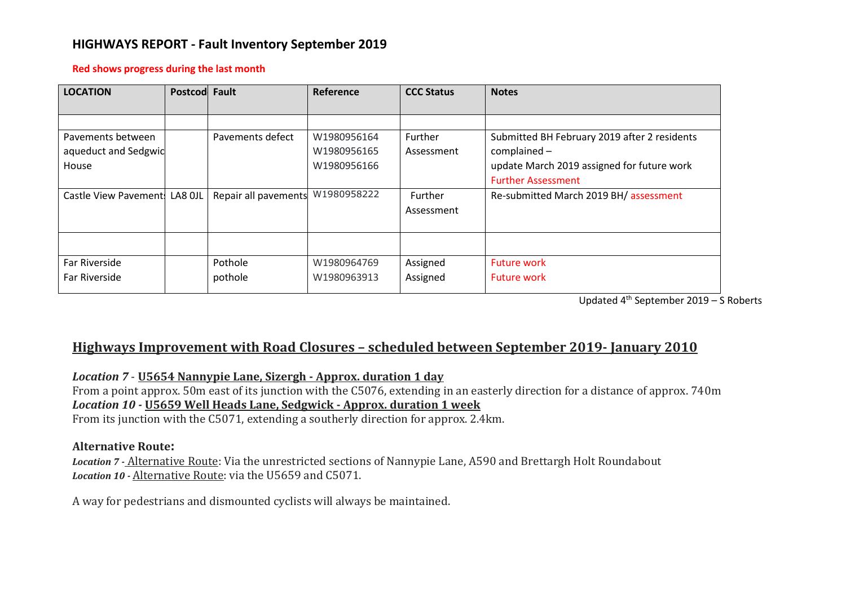## **HIGHWAYS REPORT - Fault Inventory September 2019**

#### **Red shows progress during the last month**

| <b>LOCATION</b>       | Postcod Fault |                      | Reference   | <b>CCC Status</b> | <b>Notes</b>                                 |
|-----------------------|---------------|----------------------|-------------|-------------------|----------------------------------------------|
|                       |               |                      |             |                   |                                              |
| Pavements between     |               | Pavements defect     | W1980956164 | <b>Further</b>    | Submitted BH February 2019 after 2 residents |
| aqueduct and Sedgwid  |               |                      | W1980956165 | Assessment        | $complained -$                               |
| House                 |               |                      | W1980956166 |                   | update March 2019 assigned for future work   |
|                       |               |                      |             |                   | <b>Further Assessment</b>                    |
| Castle View Pavement! | LA8 OJL       | Repair all pavements | W1980958222 | Further           | Re-submitted March 2019 BH/ assessment       |
|                       |               |                      |             | Assessment        |                                              |
|                       |               |                      |             |                   |                                              |
|                       |               |                      |             |                   |                                              |
| Far Riverside         |               | Pothole              | W1980964769 | Assigned          | <b>Future work</b>                           |
| Far Riverside         |               | pothole              | W1980963913 | Assigned          | <b>Future work</b>                           |

Updated 4th September 2019 – S Roberts

# **Highways Improvement with Road Closures – scheduled between September 2019- January 2010**

## *Location 7* - **U5654 Nannypie Lane, Sizergh - Approx. duration 1 day**

From a point approx. 50m east of its junction with the C5076, extending in an easterly direction for a distance of approx. 740m *Location 10 -* **U5659 Well Heads Lane, Sedgwick - Approx. duration 1 week**

From its junction with the C5071, extending a southerly direction for approx. 2.4km.

### **Alternative Route:**

*Location 7 -* Alternative Route: Via the unrestricted sections of Nannypie Lane, A590 and Brettargh Holt Roundabout *Location 10 -* Alternative Route: via the U5659 and C5071.

A way for pedestrians and dismounted cyclists will always be maintained.